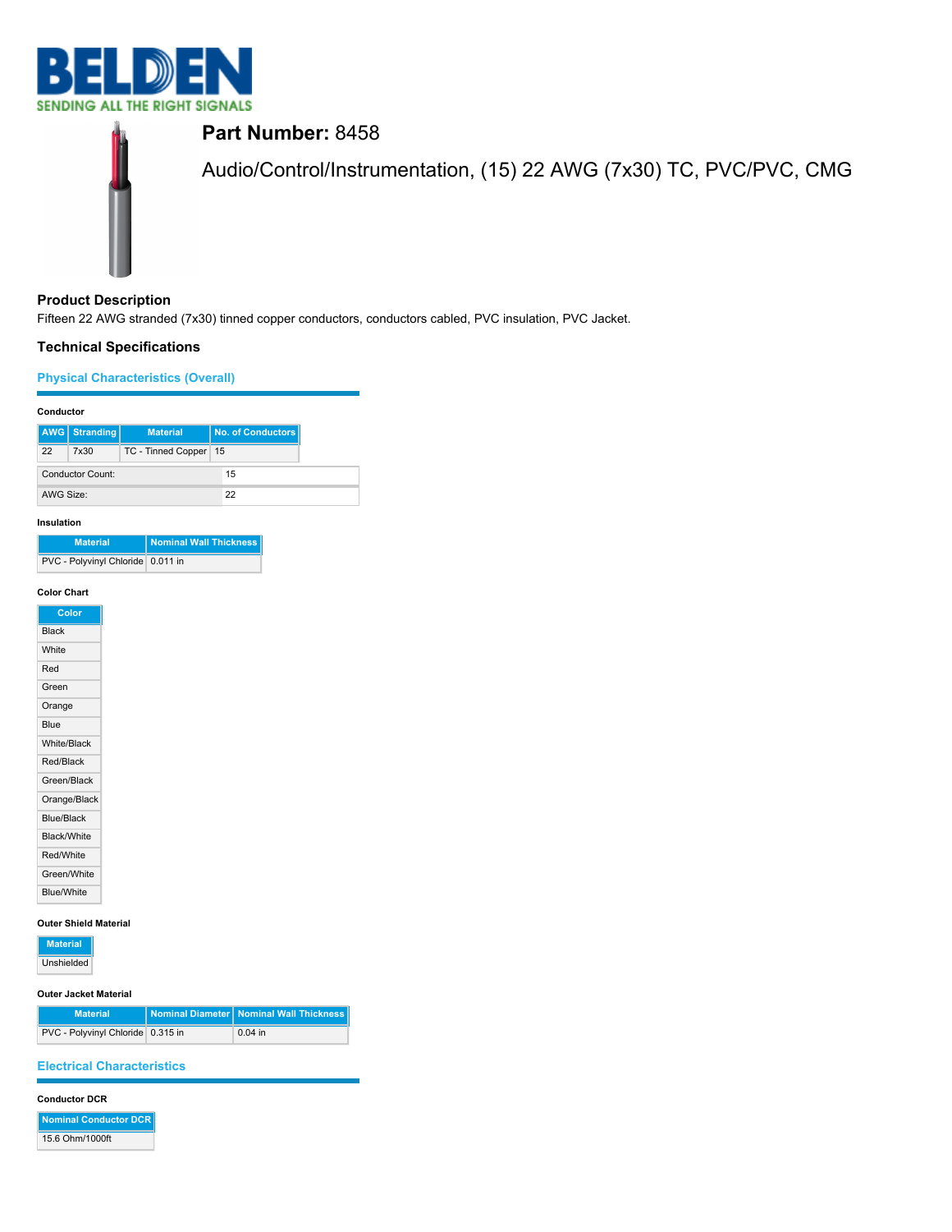



# **Product Description**

Fifteen 22 AWG stranded (7x30) tinned copper conductors, conductors cabled, PVC insulation, PVC Jacket.

# **Technical Specifications**

# **Physical Characteristics (Overall)**

## **Conductor**

|                  | <b>AWG</b> Stranding | <b>Material</b>    |    | No. of Conductors |
|------------------|----------------------|--------------------|----|-------------------|
| 22               | 7x30                 | TC - Tinned Copper | 15 |                   |
| Conductor Count: |                      |                    | 15 |                   |
| AWG Size:        |                      |                    | 22 |                   |

## **Insulation**

| <b>Material</b>                   | Nominal Wall Thickness |
|-----------------------------------|------------------------|
| PVC - Polyvinyl Chloride 0.011 in |                        |

## **Color Chart**

| Color             |
|-------------------|
| <b>Black</b>      |
| White             |
| Red               |
| Green             |
| Orange            |
| Blue              |
| White/Black       |
| Red/Black         |
| Green/Black       |
| Orange/Black      |
| Blue/Black        |
| Black/White       |
| Red/White         |
| Green/White       |
| <b>Blue/White</b> |

## **Outer Shield Material**

| <b>Material</b> |  |
|-----------------|--|
| Unshielded      |  |

### **Outer Jacket Material**

| <b>Material</b>                   | Nominal Diameter   Nominal Wall Thickness |
|-----------------------------------|-------------------------------------------|
| PVC - Polyvinyl Chloride 0.315 in | $0.04$ in                                 |

# **Electrical Characteristics**

### **Conductor DCR**

**Nominal Conductor DCR** 15.6 Ohm/1000ft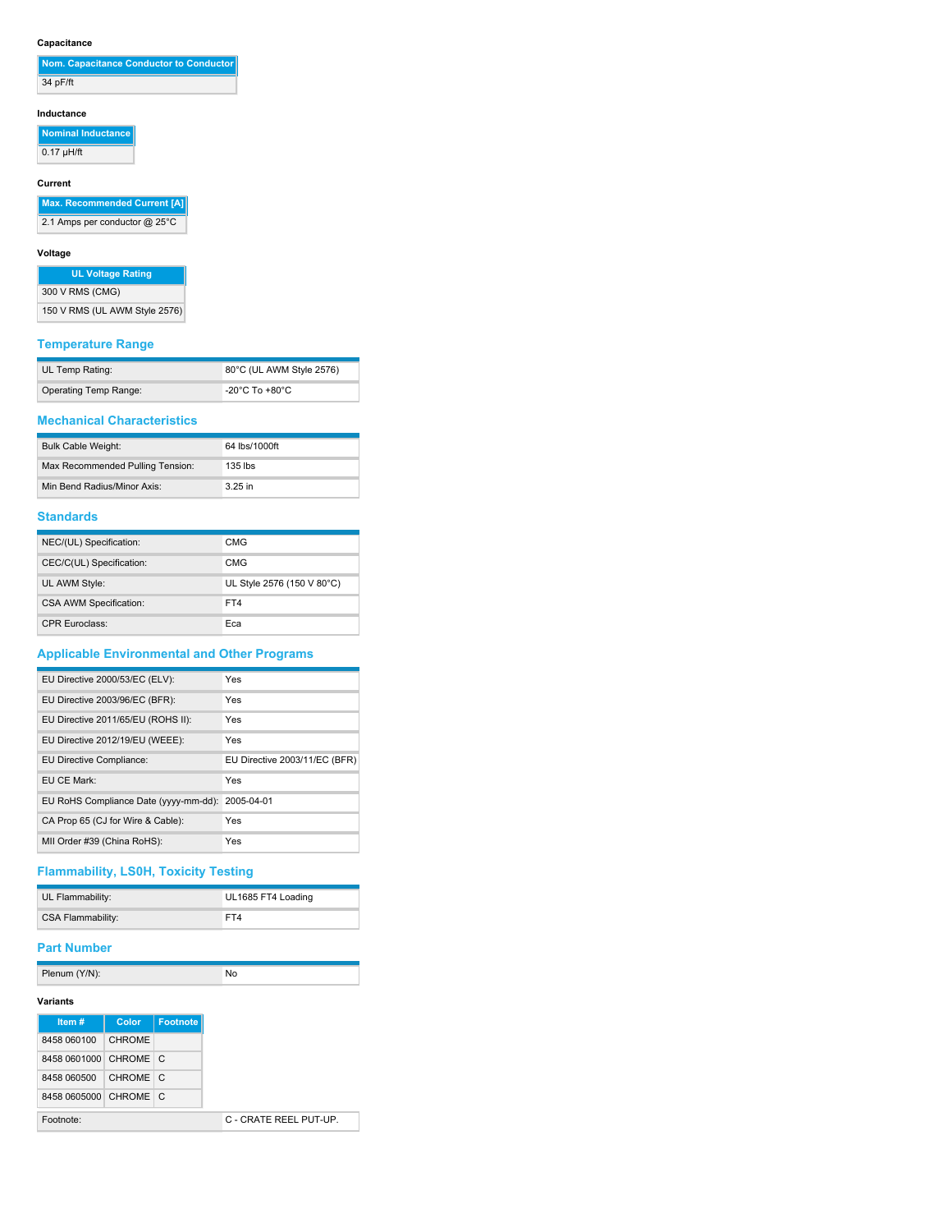## **Capacitance**

| Nom. Capacitance Conductor to Conductor |
|-----------------------------------------|
| 34 pF/ft                                |

### **Inductance**

**Nominal Inductance**  $0.17 \mu H/ft$ 

## **Current**

**Max. Recommended Current [A]**

2.1 Amps per conductor @ 25°C

## **Voltage**

| <b>UL Voltage Rating</b>      |  |  |
|-------------------------------|--|--|
| 300 V RMS (CMG)               |  |  |
| 150 V RMS (UL AWM Style 2576) |  |  |

## **Temperature Range**

| UL Temp Rating:       | 80°C (UL AWM Style 2576)             |
|-----------------------|--------------------------------------|
| Operating Temp Range: | -20 $^{\circ}$ C To +80 $^{\circ}$ C |

## **Mechanical Characteristics**

| <b>Bulk Cable Weight:</b>        | 64 lbs/1000ft |
|----------------------------------|---------------|
| Max Recommended Pulling Tension: | $135$ lbs     |
| Min Bend Radius/Minor Axis:      | $3.25$ in     |

## **Standards**

| NEC/(UL) Specification:       | CMG                        |
|-------------------------------|----------------------------|
| CEC/C(UL) Specification:      | CMG                        |
| UL AWM Style:                 | UL Style 2576 (150 V 80°C) |
| <b>CSA AWM Specification:</b> | FT4                        |
| <b>CPR Euroclass:</b>         | Eca                        |

# **Applicable Environmental and Other Programs**

| EU Directive 2000/53/EC (ELV):        | Yes                           |
|---------------------------------------|-------------------------------|
| EU Directive 2003/96/EC (BFR):        | Yes                           |
| EU Directive 2011/65/EU (ROHS II):    | Yes                           |
| EU Directive 2012/19/EU (WEEE):       | Yes                           |
| EU Directive Compliance:              | EU Directive 2003/11/EC (BFR) |
| EU CE Mark:                           | Yes                           |
| EU RoHS Compliance Date (yyyy-mm-dd): | 2005-04-01                    |
| CA Prop 65 (CJ for Wire & Cable):     | Yes                           |
| MII Order #39 (China RoHS):           | Yes                           |

# **Flammability, LS0H, Toxicity Testing**

| UL Flammability:  | UL1685 FT4 Loading |
|-------------------|--------------------|
| CSA Flammability: | FT4                |

## **Part Number**

Plenum (Y/N): No

| Item#                 | Color         | Footnote |
|-----------------------|---------------|----------|
| 8458 060100           | <b>CHROME</b> |          |
| 8458 0601000 CHROME C |               |          |
| 8458 060500           | CHROME C      |          |
| 8458 0605000 CHROME C |               |          |
| Footnote:             |               |          |